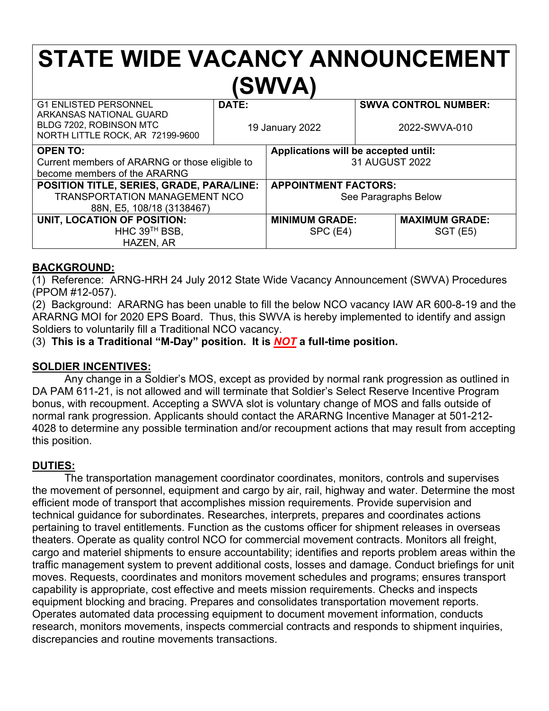# **STATE WIDE VACANCY ANNOUNCEMENT (SWVA)**

| <b>G1 ENLISTED PERSONNEL</b><br>ARKANSAS NATIONAL GUARD<br>BLDG 7202, ROBINSON MTC | DATE:<br>19 January 2022 |                                      |  | <b>SWVA CONTROL NUMBER:</b><br>2022-SWVA-010 |
|------------------------------------------------------------------------------------|--------------------------|--------------------------------------|--|----------------------------------------------|
| NORTH LITTLE ROCK, AR 72199-9600                                                   |                          |                                      |  |                                              |
| <b>OPEN TO:</b>                                                                    |                          | Applications will be accepted until: |  |                                              |
| Current members of ARARNG or those eligible to                                     |                          | 31 AUGUST 2022                       |  |                                              |
| become members of the ARARNG                                                       |                          |                                      |  |                                              |
| POSITION TITLE, SERIES, GRADE, PARA/LINE:                                          |                          | <b>APPOINTMENT FACTORS:</b>          |  |                                              |
| TRANSPORTATION MANAGEMENT NCO                                                      |                          | See Paragraphs Below                 |  |                                              |
| 88N, E5, 108/18 (3138467)                                                          |                          |                                      |  |                                              |
| UNIT, LOCATION OF POSITION:                                                        |                          | <b>MINIMUM GRADE:</b>                |  | <b>MAXIMUM GRADE:</b>                        |
| HHC 39 <sup>™</sup> BSB,                                                           |                          | SPC (E4)                             |  | <b>SGT (E5)</b>                              |
| HAZEN, AR                                                                          |                          |                                      |  |                                              |

#### **BACKGROUND:**

(1) Reference: ARNG-HRH 24 July 2012 State Wide Vacancy Announcement (SWVA) Procedures (PPOM #12-057).

(2) Background: ARARNG has been unable to fill the below NCO vacancy IAW AR 600-8-19 and the ARARNG MOI for 2020 EPS Board. Thus, this SWVA is hereby implemented to identify and assign Soldiers to voluntarily fill a Traditional NCO vacancy.

(3) **This is a Traditional "M-Day" position. It is** *NOT* **a full-time position.**

#### **SOLDIER INCENTIVES:**

Any change in a Soldier's MOS, except as provided by normal rank progression as outlined in DA PAM 611-21, is not allowed and will terminate that Soldier's Select Reserve Incentive Program bonus, with recoupment. Accepting a SWVA slot is voluntary change of MOS and falls outside of normal rank progression. Applicants should contact the ARARNG Incentive Manager at 501-212- 4028 to determine any possible termination and/or recoupment actions that may result from accepting this position.

#### **DUTIES:**

The transportation management coordinator coordinates, monitors, controls and supervises the movement of personnel, equipment and cargo by air, rail, highway and water. Determine the most efficient mode of transport that accomplishes mission requirements. Provide supervision and technical guidance for subordinates. Researches, interprets, prepares and coordinates actions pertaining to travel entitlements. Function as the customs officer for shipment releases in overseas theaters. Operate as quality control NCO for commercial movement contracts. Monitors all freight, cargo and materiel shipments to ensure accountability; identifies and reports problem areas within the traffic management system to prevent additional costs, losses and damage. Conduct briefings for unit moves. Requests, coordinates and monitors movement schedules and programs; ensures transport capability is appropriate, cost effective and meets mission requirements. Checks and inspects equipment blocking and bracing. Prepares and consolidates transportation movement reports. Operates automated data processing equipment to document movement information, conducts research, monitors movements, inspects commercial contracts and responds to shipment inquiries, discrepancies and routine movements transactions.